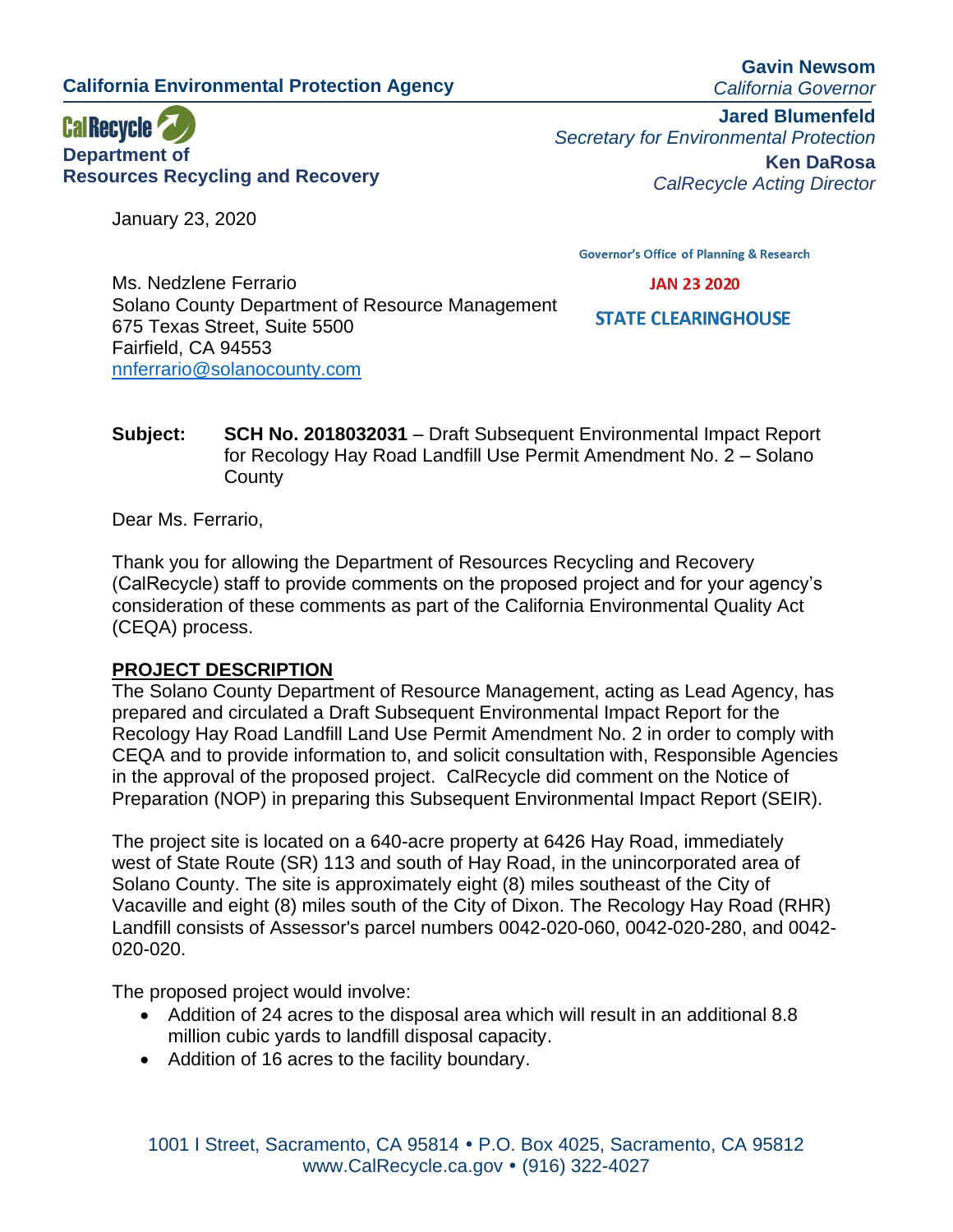**California Environmental Protection Agency**

**Gavin Newsom** *California Governor*

**CalRecycle Department of Resources Recycling and Recovery**

January 23, 2020

**Jared Blumenfeld** *Secretary for Environmental Protection* **Ken DaRosa** *CalRecycle Acting Director*

**Governor's Office of Planning & Research** 

**JAN 23 2020** 

Ms. Nedzlene Ferrario Solano County Department of Resource Management 675 Texas Street, Suite 5500 Fairfield, CA 94553 [nnferrario@solanocounty.com](mailto:nnferrario@solanocounty.com)

**STATE CLEARINGHOUSE** 

**Subject: SCH No. 2018032031** – Draft Subsequent Environmental Impact Report for Recology Hay Road Landfill Use Permit Amendment No. 2 – Solano **County** 

Dear Ms. Ferrario,

Thank you for allowing the Department of Resources Recycling and Recovery (CalRecycle) staff to provide comments on the proposed project and for your agency's consideration of these comments as part of the California Environmental Quality Act (CEQA) process.

### **PROJECT DESCRIPTION**

The Solano County Department of Resource Management, acting as Lead Agency, has prepared and circulated a Draft Subsequent Environmental Impact Report for the Recology Hay Road Landfill Land Use Permit Amendment No. 2 in order to comply with CEQA and to provide information to, and solicit consultation with, Responsible Agencies in the approval of the proposed project. CalRecycle did comment on the Notice of Preparation (NOP) in preparing this Subsequent Environmental Impact Report (SEIR).

The project site is located on a 640-acre property at 6426 Hay Road, immediately west of State Route (SR) 113 and south of Hay Road, in the unincorporated area of Solano County. The site is approximately eight (8) miles southeast of the City of Vacaville and eight (8) miles south of the City of Dixon. The Recology Hay Road (RHR) Landfill consists of Assessor's parcel numbers 0042-020-060, 0042-020-280, and 0042- 020-020.

The proposed project would involve:

- Addition of 24 acres to the disposal area which will result in an additional 8.8 million cubic yards to landfill disposal capacity.
- Addition of 16 acres to the facility boundary.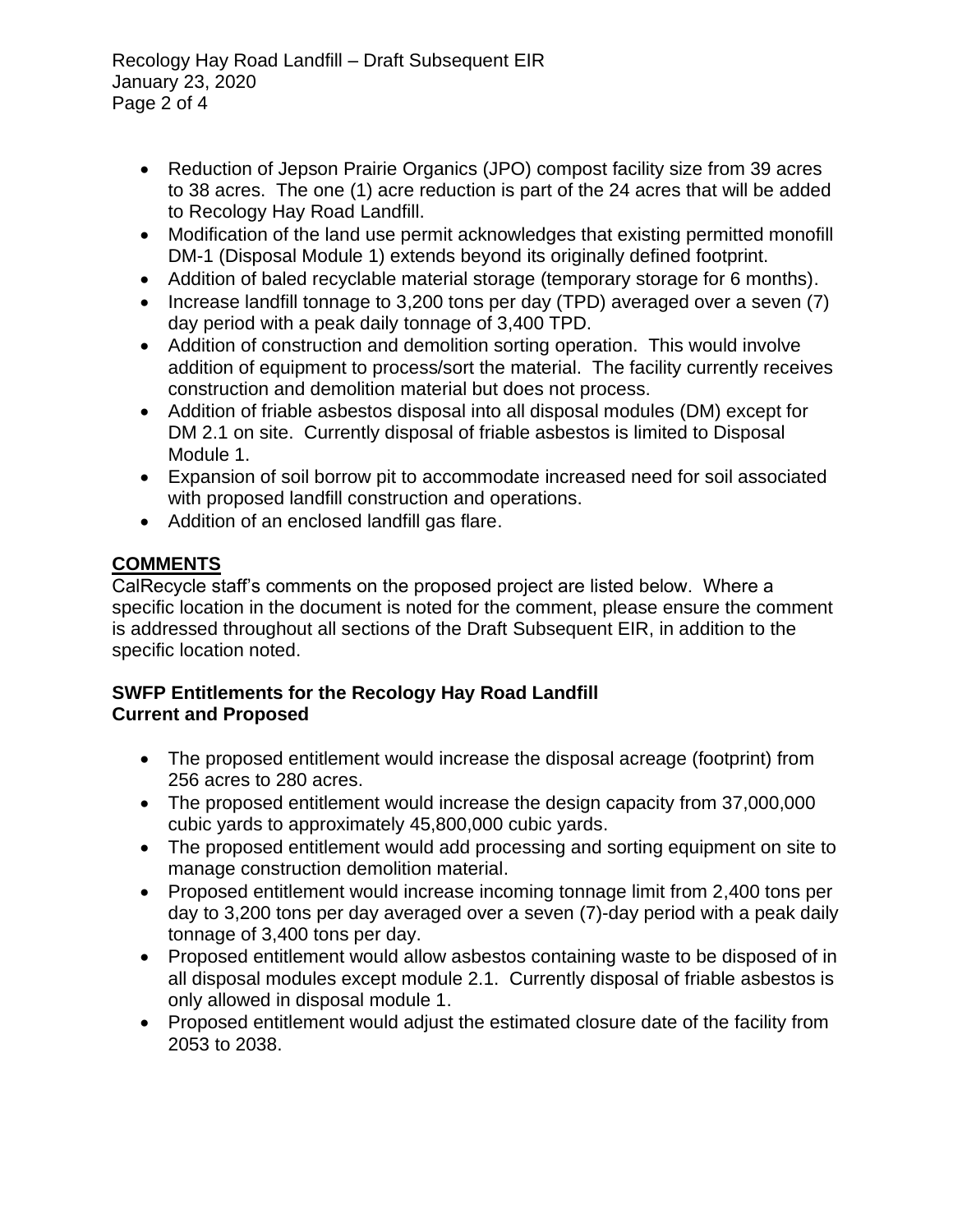Recology Hay Road Landfill – Draft Subsequent EIR January 23, 2020 Page 2 of 4

- Reduction of Jepson Prairie Organics (JPO) compost facility size from 39 acres to 38 acres. The one (1) acre reduction is part of the 24 acres that will be added to Recology Hay Road Landfill.
- Modification of the land use permit acknowledges that existing permitted monofill DM-1 (Disposal Module 1) extends beyond its originally defined footprint.
- Addition of baled recyclable material storage (temporary storage for 6 months).
- Increase landfill tonnage to 3,200 tons per day (TPD) averaged over a seven (7) day period with a peak daily tonnage of 3,400 TPD.
- Addition of construction and demolition sorting operation. This would involve addition of equipment to process/sort the material. The facility currently receives construction and demolition material but does not process.
- Addition of friable asbestos disposal into all disposal modules (DM) except for DM 2.1 on site. Currently disposal of friable asbestos is limited to Disposal Module 1.
- Expansion of soil borrow pit to accommodate increased need for soil associated with proposed landfill construction and operations.
- Addition of an enclosed landfill gas flare.

# **COMMENTS**

CalRecycle staff's comments on the proposed project are listed below. Where a specific location in the document is noted for the comment, please ensure the comment is addressed throughout all sections of the Draft Subsequent EIR, in addition to the specific location noted.

#### **SWFP Entitlements for the Recology Hay Road Landfill Current and Proposed**

- The proposed entitlement would increase the disposal acreage (footprint) from 256 acres to 280 acres.
- The proposed entitlement would increase the design capacity from 37,000,000 cubic yards to approximately 45,800,000 cubic yards.
- The proposed entitlement would add processing and sorting equipment on site to manage construction demolition material.
- Proposed entitlement would increase incoming tonnage limit from 2,400 tons per day to 3,200 tons per day averaged over a seven (7)-day period with a peak daily tonnage of 3,400 tons per day.
- Proposed entitlement would allow asbestos containing waste to be disposed of in all disposal modules except module 2.1. Currently disposal of friable asbestos is only allowed in disposal module 1.
- Proposed entitlement would adjust the estimated closure date of the facility from 2053 to 2038.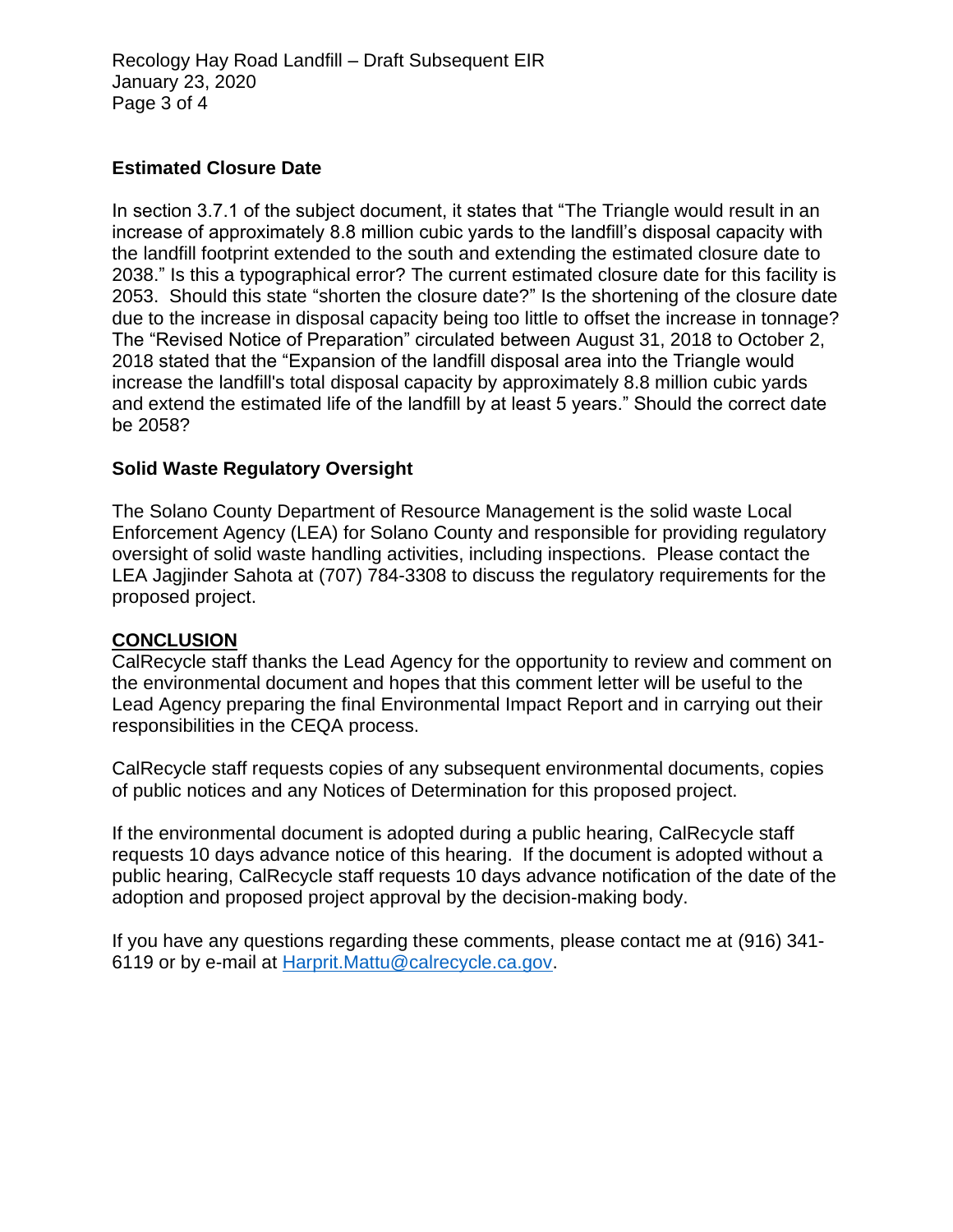## **Estimated Closure Date**

In section 3.7.1 of the subject document, it states that "The Triangle would result in an increase of approximately 8.8 million cubic yards to the landfill's disposal capacity with the landfill footprint extended to the south and extending the estimated closure date to 2038." Is this a typographical error? The current estimated closure date for this facility is 2053. Should this state "shorten the closure date?" Is the shortening of the closure date due to the increase in disposal capacity being too little to offset the increase in tonnage? The "Revised Notice of Preparation" circulated between August 31, 2018 to October 2, 2018 stated that the "Expansion of the landfill disposal area into the Triangle would increase the landfill's total disposal capacity by approximately 8.8 million cubic yards and extend the estimated life of the landfill by at least 5 years." Should the correct date be 2058?

### **Solid Waste Regulatory Oversight**

The Solano County Department of Resource Management is the solid waste Local Enforcement Agency (LEA) for Solano County and responsible for providing regulatory oversight of solid waste handling activities, including inspections. Please contact the LEA Jagjinder Sahota at (707) 784-3308 to discuss the regulatory requirements for the proposed project.

#### **CONCLUSION**

CalRecycle staff thanks the Lead Agency for the opportunity to review and comment on the environmental document and hopes that this comment letter will be useful to the Lead Agency preparing the final Environmental Impact Report and in carrying out their responsibilities in the CEQA process.

CalRecycle staff requests copies of any subsequent environmental documents, copies of public notices and any Notices of Determination for this proposed project.

If the environmental document is adopted during a public hearing, CalRecycle staff requests 10 days advance notice of this hearing. If the document is adopted without a public hearing, CalRecycle staff requests 10 days advance notification of the date of the adoption and proposed project approval by the decision-making body.

If you have any questions regarding these comments, please contact me at (916) 341- 6119 or by e-mail at [Harprit.Mattu@calrecycle.ca.gov.](mailto:Harprit.Mattu@calrecycle.ca.gov)